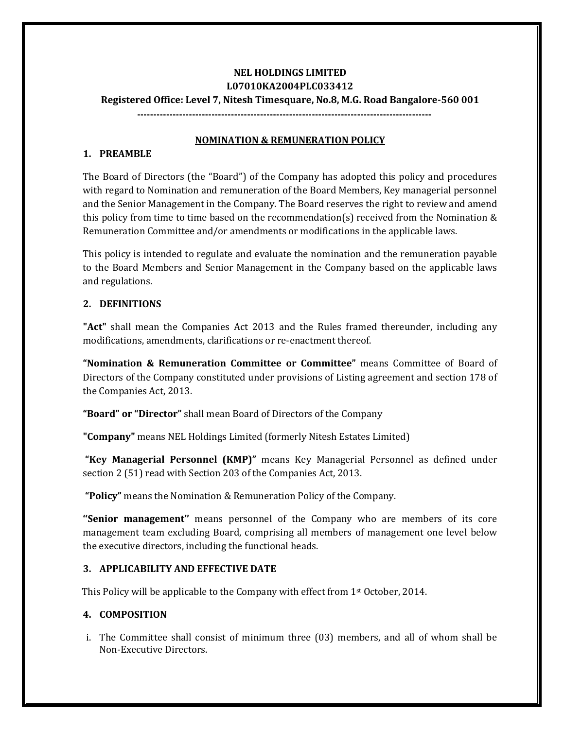# **NEL HOLDINGS LIMITED L07010KA2004PLC033412 Registered Office: Level 7, Nitesh Timesquare, No.8, M.G. Road Bangalore-560 001**

**-------------------------------------------------------------------------------------------**

#### **NOMINATION & REMUNERATION POLICY**

### **1. PREAMBLE**

The Board of Directors (the "Board") of the Company has adopted this policy and procedures with regard to Nomination and remuneration of the Board Members, Key managerial personnel and the Senior Management in the Company. The Board reserves the right to review and amend this policy from time to time based on the recommendation(s) received from the Nomination & Remuneration Committee and/or amendments or modifications in the applicable laws.

This policy is intended to regulate and evaluate the nomination and the remuneration payable to the Board Members and Senior Management in the Company based on the applicable laws and regulations.

## **2. DEFINITIONS**

**"Act"** shall mean the Companies Act 2013 and the Rules framed thereunder, including any modifications, amendments, clarifications or re-enactment thereof.

**"Nomination & Remuneration Committee or Committee"** means Committee of Board of Directors of the Company constituted under provisions of Listing agreement and section 178 of the Companies Act, 2013.

**"Board" or "Director"** shall mean Board of Directors of the Company

**"Company"** means NEL Holdings Limited (formerly Nitesh Estates Limited)

**"Key Managerial Personnel (KMP)"** means Key Managerial Personnel as defined under section 2 (51) read with Section 203 of the Companies Act, 2013.

**"Policy"** means the Nomination & Remuneration Policy of the Company.

**''Senior management''** means personnel of the Company who are members of its core management team excluding Board, comprising all members of management one level below the executive directors, including the functional heads.

### **3. APPLICABILITY AND EFFECTIVE DATE**

This Policy will be applicable to the Company with effect from 1st October, 2014.

### **4. COMPOSITION**

i. The Committee shall consist of minimum three (03) members, and all of whom shall be Non-Executive Directors.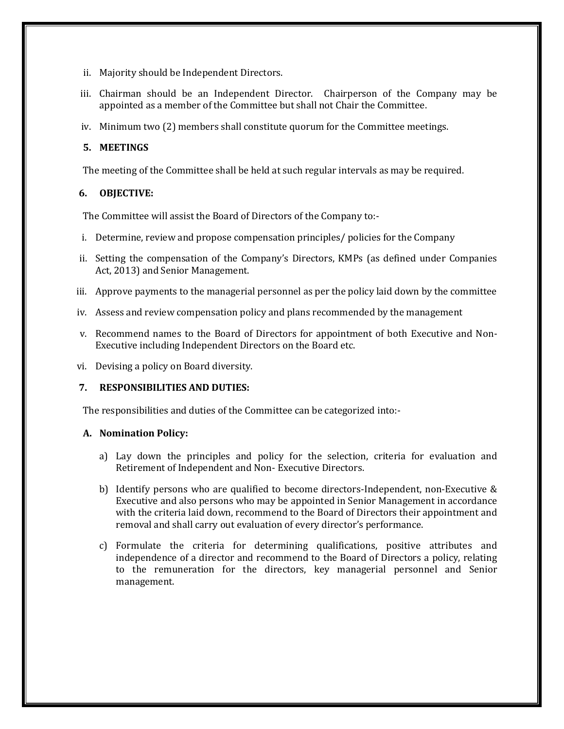- ii. Majority should be Independent Directors.
- iii. Chairman should be an Independent Director. Chairperson of the Company may be appointed as a member of the Committee but shall not Chair the Committee.
- iv. Minimum two (2) members shall constitute quorum for the Committee meetings.

### **5. MEETINGS**

The meeting of the Committee shall be held at such regular intervals as may be required.

#### **6. OBJECTIVE:**

The Committee will assist the Board of Directors of the Company to:-

- i. Determine, review and propose compensation principles/ policies for the Company
- ii. Setting the compensation of the Company's Directors, KMPs (as defined under Companies Act, 2013) and Senior Management.
- iii. Approve payments to the managerial personnel as per the policy laid down by the committee
- iv. Assess and review compensation policy and plans recommended by the management
- v. Recommend names to the Board of Directors for appointment of both Executive and Non-Executive including Independent Directors on the Board etc.
- vi. Devising a policy on Board diversity.

### **7. RESPONSIBILITIES AND DUTIES:**

The responsibilities and duties of the Committee can be categorized into:-

#### **A. Nomination Policy:**

- a) Lay down the principles and policy for the selection, criteria for evaluation and Retirement of Independent and Non- Executive Directors.
- b) Identify persons who are qualified to become directors-Independent, non-Executive & Executive and also persons who may be appointed in Senior Management in accordance with the criteria laid down, recommend to the Board of Directors their appointment and removal and shall carry out evaluation of every director's performance.
- c) Formulate the criteria for determining qualifications, positive attributes and independence of a director and recommend to the Board of Directors a policy, relating to the remuneration for the directors, key managerial personnel and Senior management.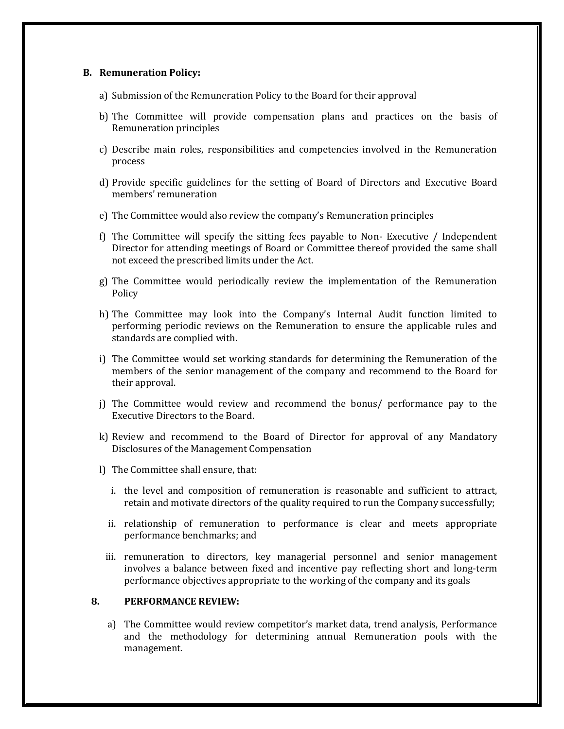#### **B. Remuneration Policy:**

- a) Submission of the Remuneration Policy to the Board for their approval
- b) The Committee will provide compensation plans and practices on the basis of Remuneration principles
- c) Describe main roles, responsibilities and competencies involved in the Remuneration process
- d) Provide specific guidelines for the setting of Board of Directors and Executive Board members' remuneration
- e) The Committee would also review the company's Remuneration principles
- f) The Committee will specify the sitting fees payable to Non- Executive / Independent Director for attending meetings of Board or Committee thereof provided the same shall not exceed the prescribed limits under the Act.
- g) The Committee would periodically review the implementation of the Remuneration Policy
- h) The Committee may look into the Company's Internal Audit function limited to performing periodic reviews on the Remuneration to ensure the applicable rules and standards are complied with.
- i) The Committee would set working standards for determining the Remuneration of the members of the senior management of the company and recommend to the Board for their approval.
- j) The Committee would review and recommend the bonus/ performance pay to the Executive Directors to the Board.
- k) Review and recommend to the Board of Director for approval of any Mandatory Disclosures of the Management Compensation
- l) The Committee shall ensure, that:
	- i. the level and composition of remuneration is reasonable and sufficient to attract, retain and motivate directors of the quality required to run the Company successfully;
	- ii. relationship of remuneration to performance is clear and meets appropriate performance benchmarks; and
	- iii. remuneration to directors, key managerial personnel and senior management involves a balance between fixed and incentive pay reflecting short and long-term performance objectives appropriate to the working of the company and its goals

#### **8. PERFORMANCE REVIEW:**

a) The Committee would review competitor's market data, trend analysis, Performance and the methodology for determining annual Remuneration pools with the management.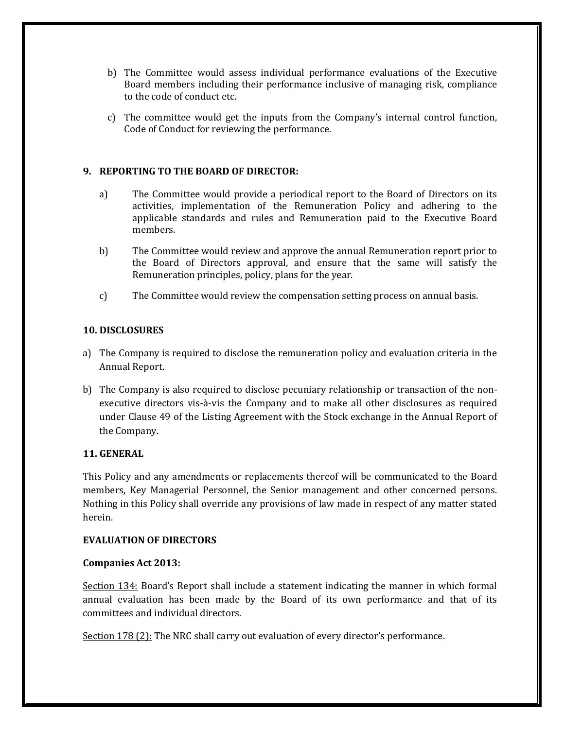- b) The Committee would assess individual performance evaluations of the Executive Board members including their performance inclusive of managing risk, compliance to the code of conduct etc.
- c) The committee would get the inputs from the Company's internal control function, Code of Conduct for reviewing the performance.

### **9. REPORTING TO THE BOARD OF DIRECTOR:**

- a) The Committee would provide a periodical report to the Board of Directors on its activities, implementation of the Remuneration Policy and adhering to the applicable standards and rules and Remuneration paid to the Executive Board members.
- b) The Committee would review and approve the annual Remuneration report prior to the Board of Directors approval, and ensure that the same will satisfy the Remuneration principles, policy, plans for the year.
- c) The Committee would review the compensation setting process on annual basis.

#### **10. DISCLOSURES**

- a) The Company is required to disclose the remuneration policy and evaluation criteria in the Annual Report.
- b) The Company is also required to disclose pecuniary relationship or transaction of the nonexecutive directors vis-à-vis the Company and to make all other disclosures as required under Clause 49 of the Listing Agreement with the Stock exchange in the Annual Report of the Company.

#### **11. GENERAL**

This Policy and any amendments or replacements thereof will be communicated to the Board members, Key Managerial Personnel, the Senior management and other concerned persons. Nothing in this Policy shall override any provisions of law made in respect of any matter stated herein.

#### **EVALUATION OF DIRECTORS**

#### **Companies Act 2013:**

Section 134: Board's Report shall include a statement indicating the manner in which formal annual evaluation has been made by the Board of its own performance and that of its committees and individual directors.

Section 178 (2): The NRC shall carry out evaluation of every director's performance.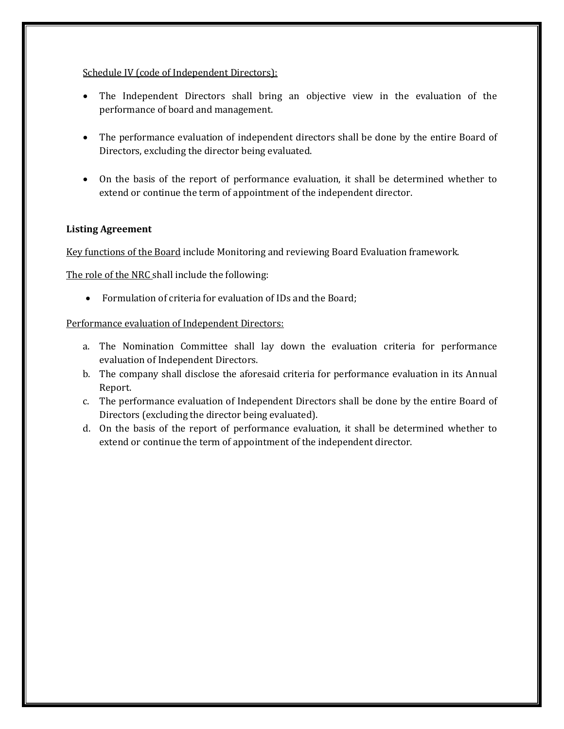#### Schedule IV (code of Independent Directors):

- The Independent Directors shall bring an objective view in the evaluation of the performance of board and management.
- The performance evaluation of independent directors shall be done by the entire Board of Directors, excluding the director being evaluated.
- On the basis of the report of performance evaluation, it shall be determined whether to extend or continue the term of appointment of the independent director.

### **Listing Agreement**

Key functions of the Board include Monitoring and reviewing Board Evaluation framework.

The role of the NRC shall include the following:

Formulation of criteria for evaluation of IDs and the Board;

### Performance evaluation of Independent Directors:

- a. The Nomination Committee shall lay down the evaluation criteria for performance evaluation of Independent Directors.
- b. The company shall disclose the aforesaid criteria for performance evaluation in its Annual Report.
- c. The performance evaluation of Independent Directors shall be done by the entire Board of Directors (excluding the director being evaluated).
- d. On the basis of the report of performance evaluation, it shall be determined whether to extend or continue the term of appointment of the independent director.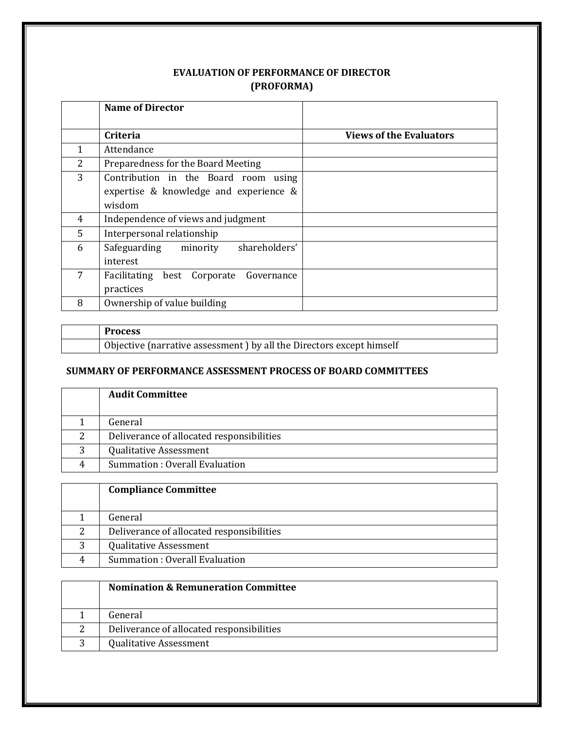# **EVALUATION OF PERFORMANCE OF DIRECTOR (PROFORMA)**

|   | <b>Name of Director</b>                                                                  |                                |
|---|------------------------------------------------------------------------------------------|--------------------------------|
|   | Criteria                                                                                 | <b>Views of the Evaluators</b> |
| 1 | Attendance                                                                               |                                |
| 2 | Preparedness for the Board Meeting                                                       |                                |
| 3 | Contribution in the Board room using<br>expertise & knowledge and experience &<br>wisdom |                                |
| 4 | Independence of views and judgment                                                       |                                |
| 5 | Interpersonal relationship                                                               |                                |
| 6 | shareholders'<br>Safeguarding<br>minority<br>interest                                    |                                |
| 7 | Facilitating<br>best Corporate<br>Governance<br>practices                                |                                |
| 8 | Ownership of value building                                                              |                                |

| <b>Process</b>                                                       |
|----------------------------------------------------------------------|
| Objective (narrative assessment) by all the Directors except himself |

## **SUMMARY OF PERFORMANCE ASSESSMENT PROCESS OF BOARD COMMITTEES**

|   | <b>Audit Committee</b>                    |
|---|-------------------------------------------|
|   | General                                   |
| 2 | Deliverance of allocated responsibilities |
| 3 | <b>Qualitative Assessment</b>             |
| 4 | Summation: Overall Evaluation             |

|   | <b>Compliance Committee</b>               |
|---|-------------------------------------------|
|   | General                                   |
| ▵ | Deliverance of allocated responsibilities |
| 3 | <b>Qualitative Assessment</b>             |
|   | Summation: Overall Evaluation             |

| <b>Nomination &amp; Remuneration Committee</b> |
|------------------------------------------------|
| General                                        |
| Deliverance of allocated responsibilities      |
| <b>Qualitative Assessment</b>                  |